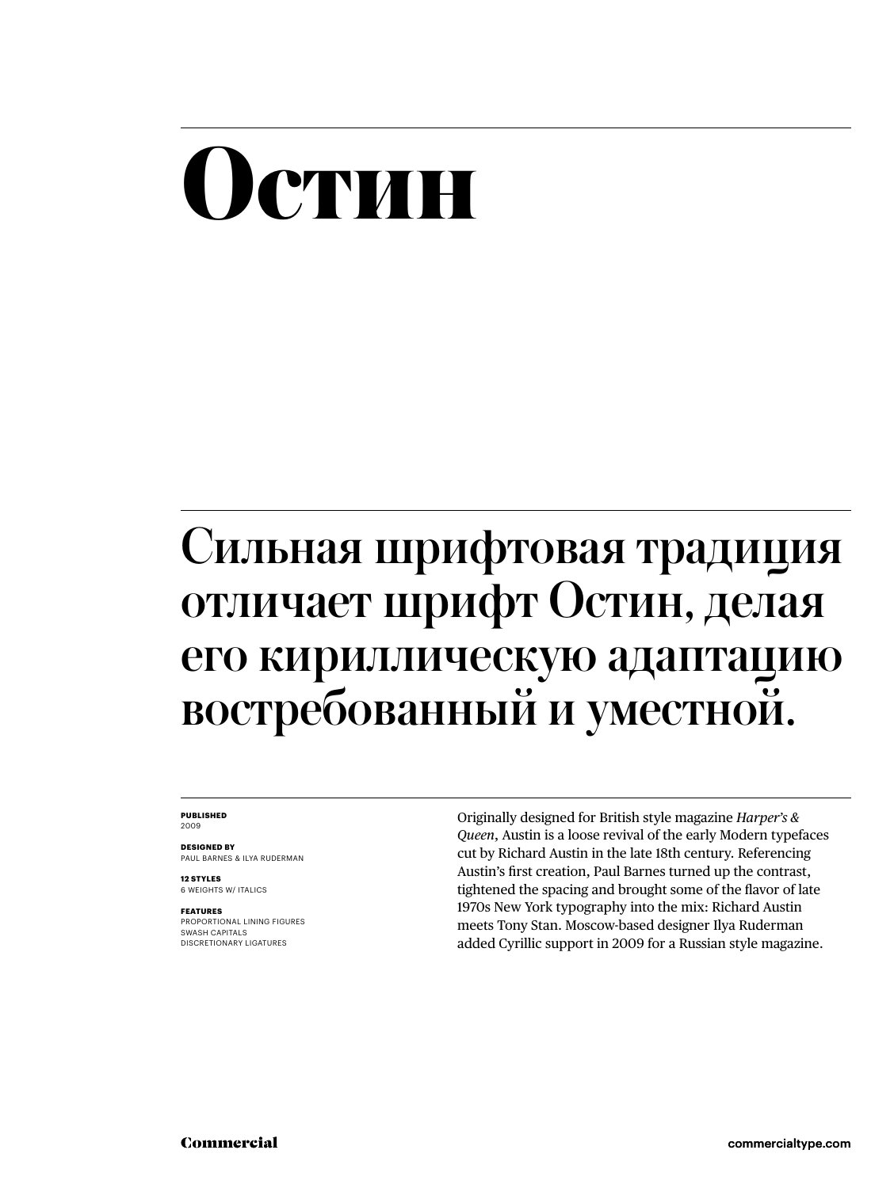#### **Остин**

#### Сильная шрифтовая традиция отличает шрифт Остин, делая его кириллическую адаптацию востребованный и уместной.

#### **PUBLISHED** 2009

**DESIGNED BY** PAUL BARNES & ILYA RUDERMAN

**12 STYLES** 6 WEIGHTS W/ ITALICS

**FEATURES** PROPORTIONAL LINING FIGURES SWASH CAPITALS DISCRETIONARY LIGATURES

Originally designed for British style magazine *Harper's & Queen*, Austin is a loose revival of the early Modern typefaces cut by Richard Austin in the late 18th century. Referencing Austin's first creation, Paul Barnes turned up the contrast, tightened the spacing and brought some of the flavor of late 1970s New York typography into the mix: Richard Austin meets Tony Stan. Moscow-based designer Ilya Ruderman added Cyrillic support in 2009 for a Russian style magazine.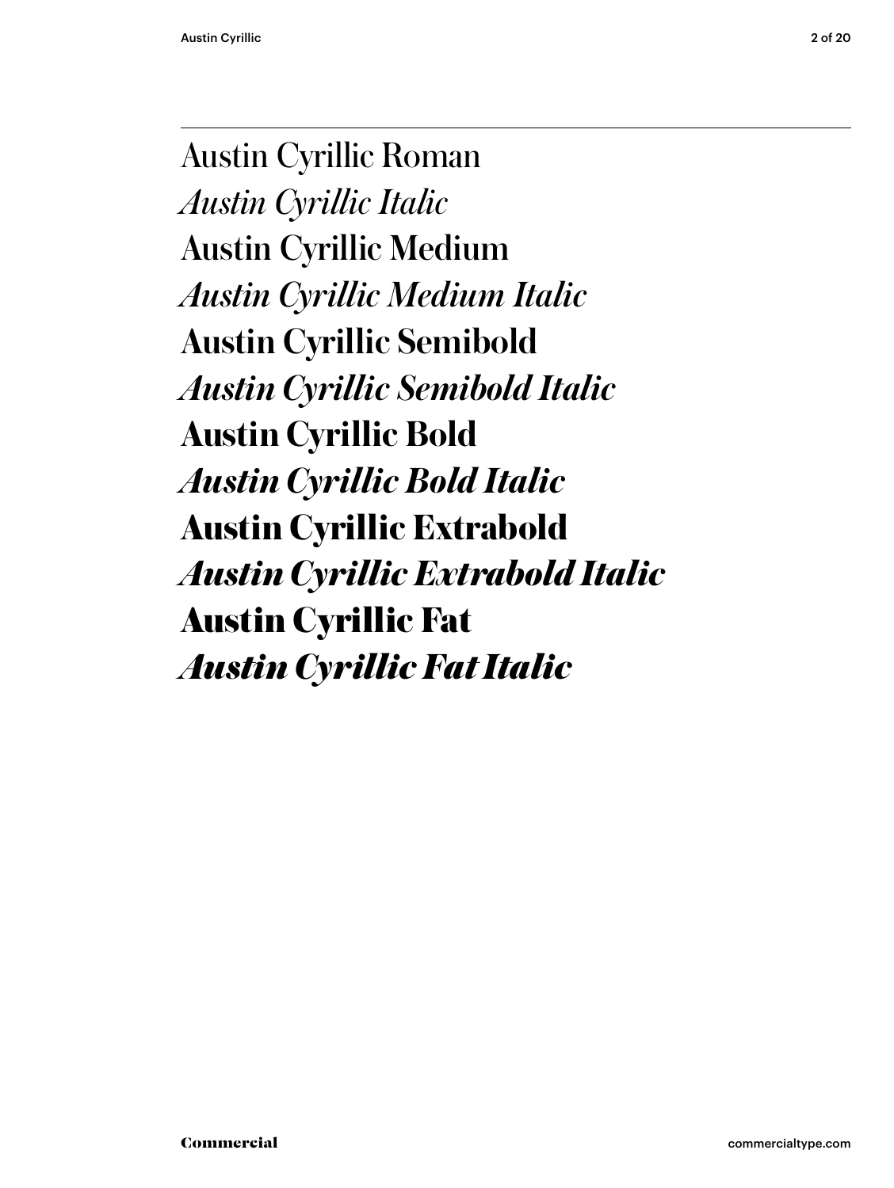Austin Cyrillic Roman *Austin Cyrillic Italic* Austin Cyrillic Medium *Austin Cyrillic Medium Italic* **Austin Cyrillic Semibold** *Austin Cyrillic Semibold Italic* **Austin Cyrillic Bold** *Austin Cyrillic Bold Italic* **Austin Cyrillic Extrabold** *Austin Cyrillic Extrabold Italic* Austin Cyrillic Fat *Austin Cyrillic Fat Italic*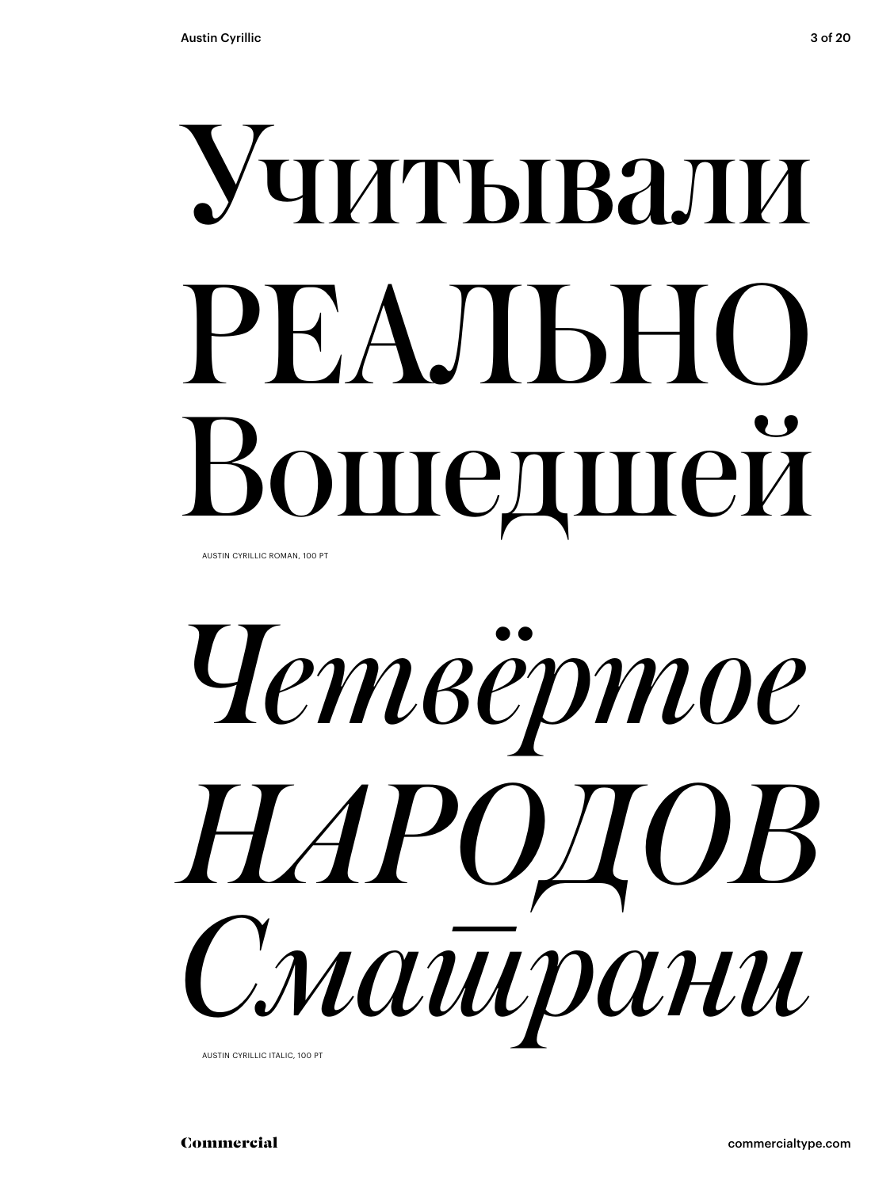# читывали РЕАЛЬНО ошедшей

AUSTIN CYRILLIC ROMAN, 100 PT



Commercial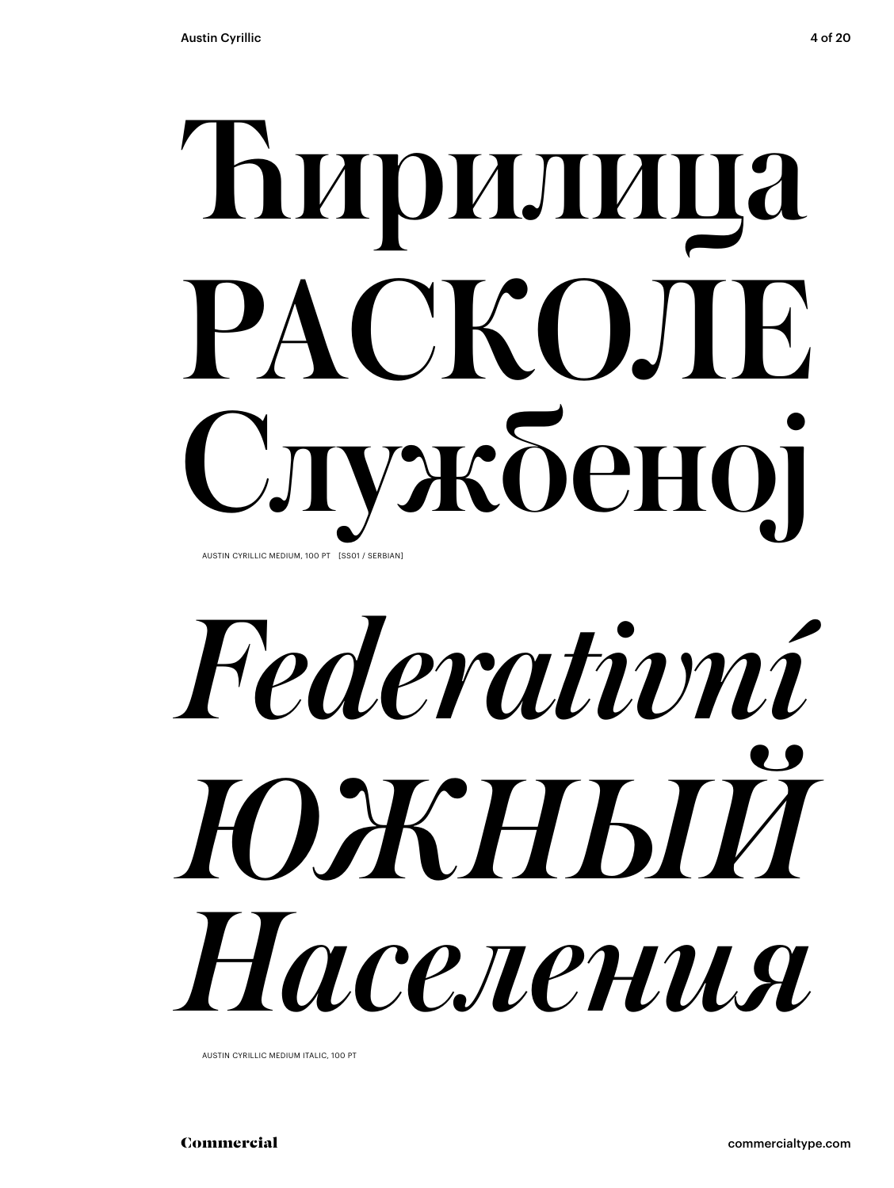## Ћирили РАСКОЛЕ ужбеној AUSTIN CYRILLIC MEDIUM, 100 PT [SS01 / SERBIAN]

# *Federativní ЮЖНЫЙ Населения*

AUSTIN CYRILLIC MEDIUM ITALIC, 100 PT

Commercial commercialtype.com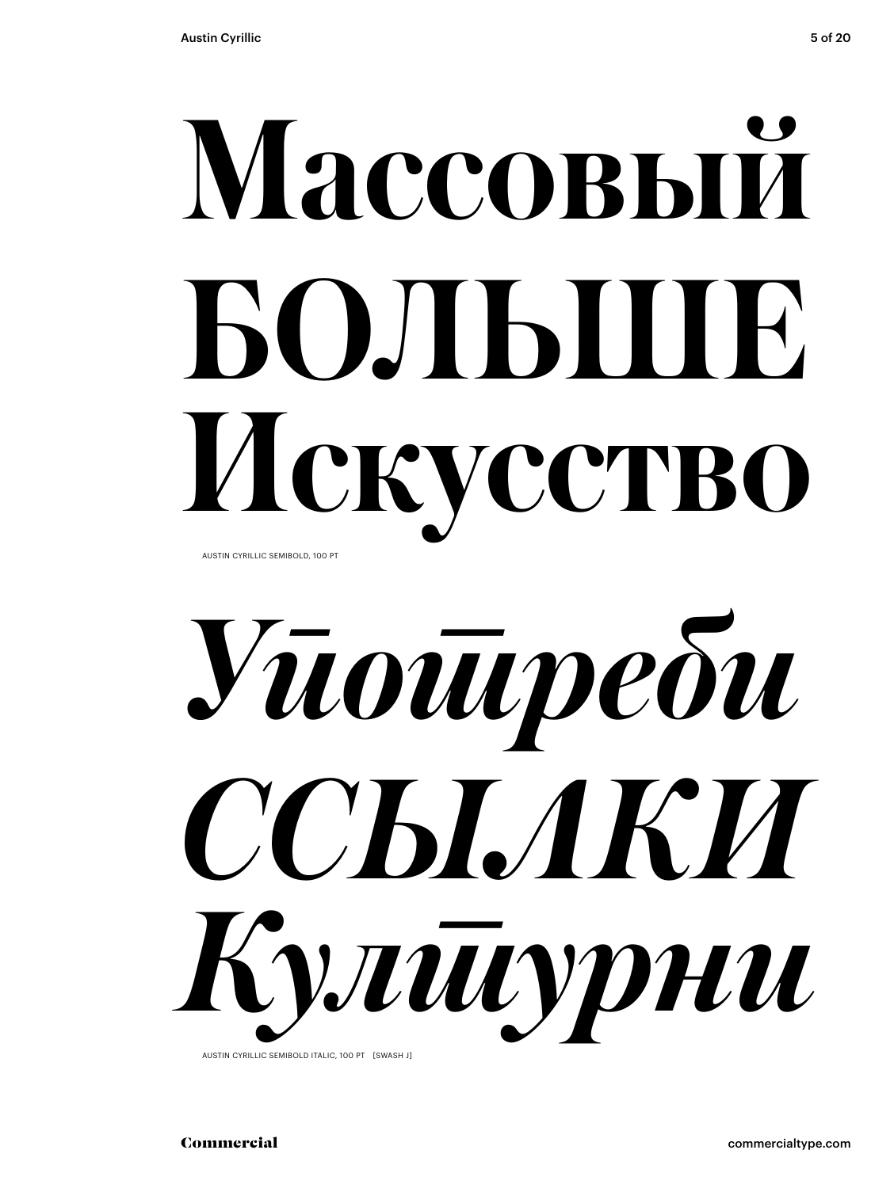# Массовый БОЛЬШЯ Искусство

AUSTIN CYRILLIC SEMIBOLD, 100 PT



AUSTIN CYRILLIC SEMIROLD ITALIC, 100 PT ESWASH IT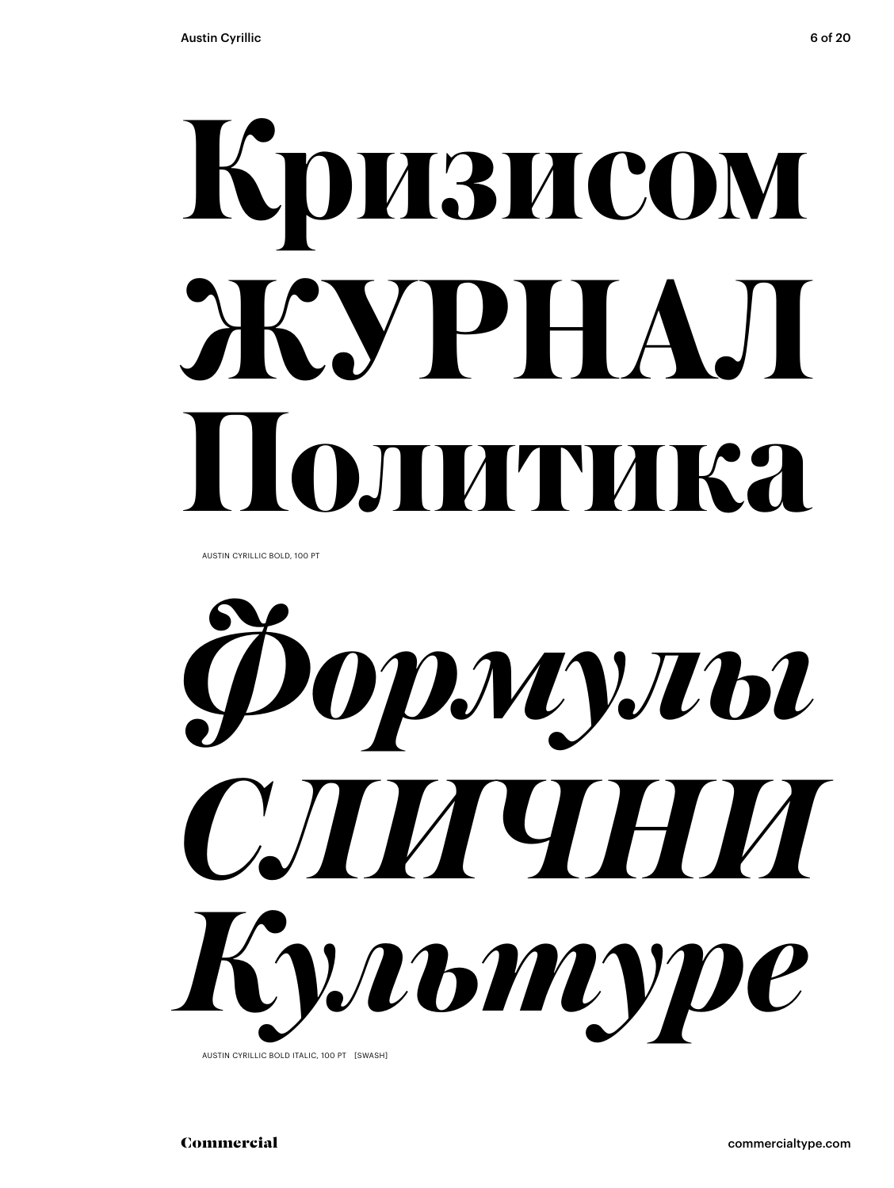# **Кризисом ЖУРНАЛ Политика**

AUSTIN CYRILLIC BOLD, 100 PT



AUSTIN CYRILLIC BOLD ITALIC, 100 PT [SWASH]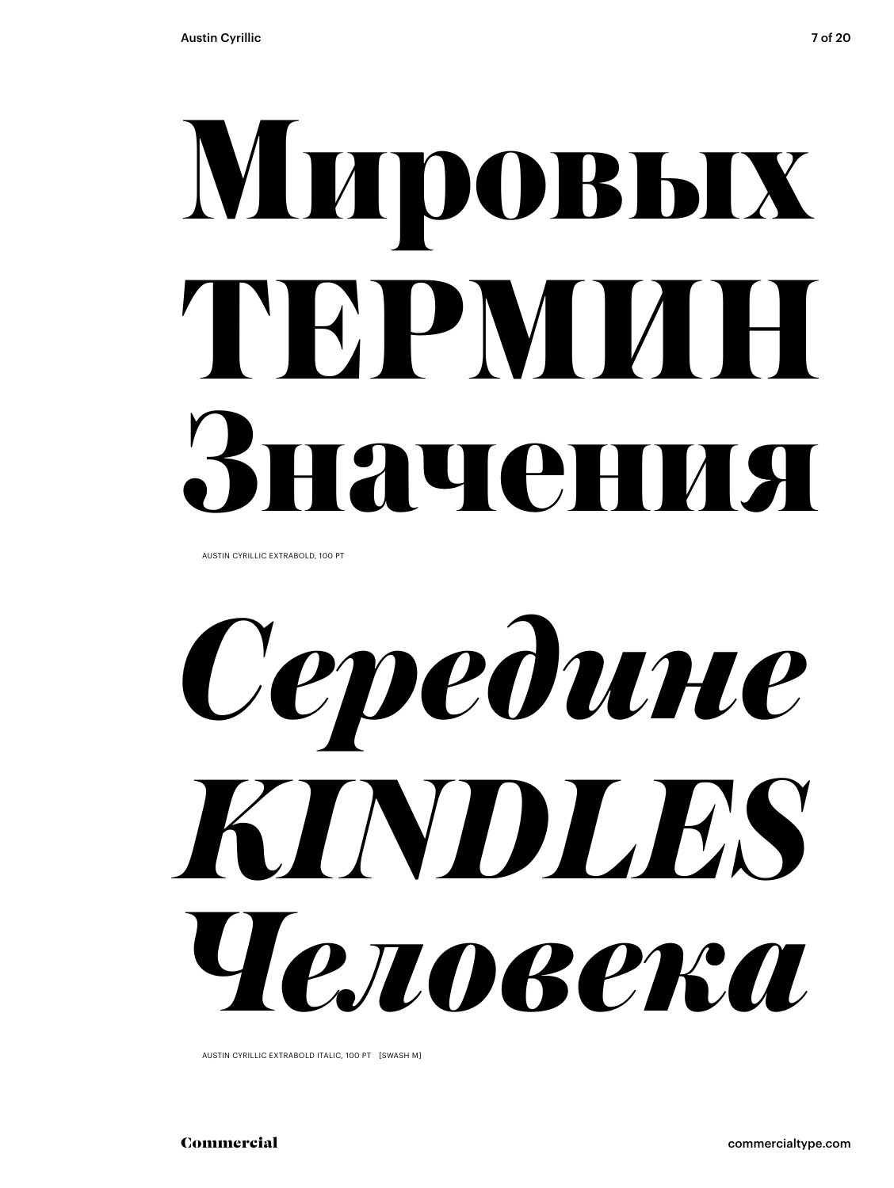### Мировых TEPMM H **гачения**

AUSTIN CYRILLIC EXTRABOLD, 100 PT

Cepedune KINDLES Человека

AUSTIN CYRILLIC EXTRABOLD ITALIC, 100 PT [SWASH M]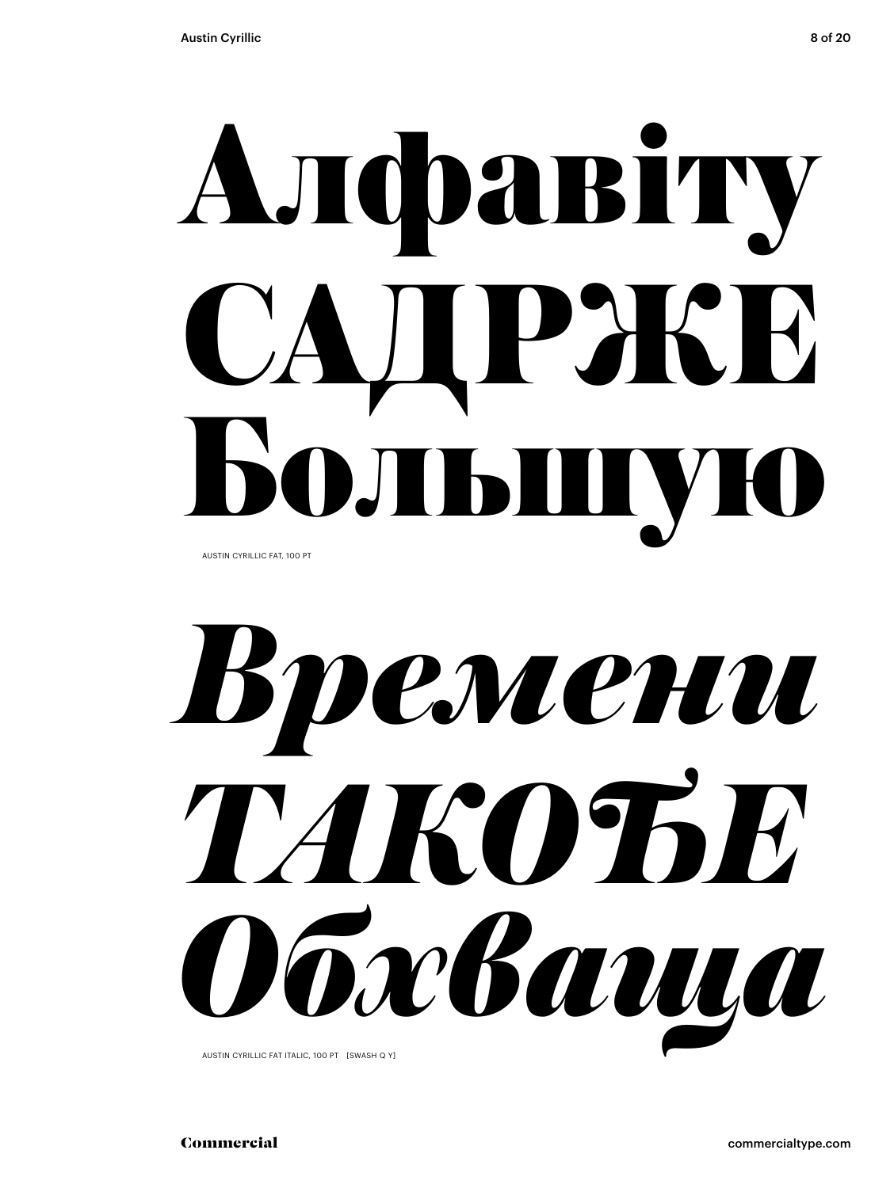## Aлфавіту PHK  $\bigcup$  $\prod$

AUSTIN CYRILLIC FAT, 100 PT



AUSTIN CYRILLIC FAT ITALIC, 100 PT [SWASH Q Y]

Commercial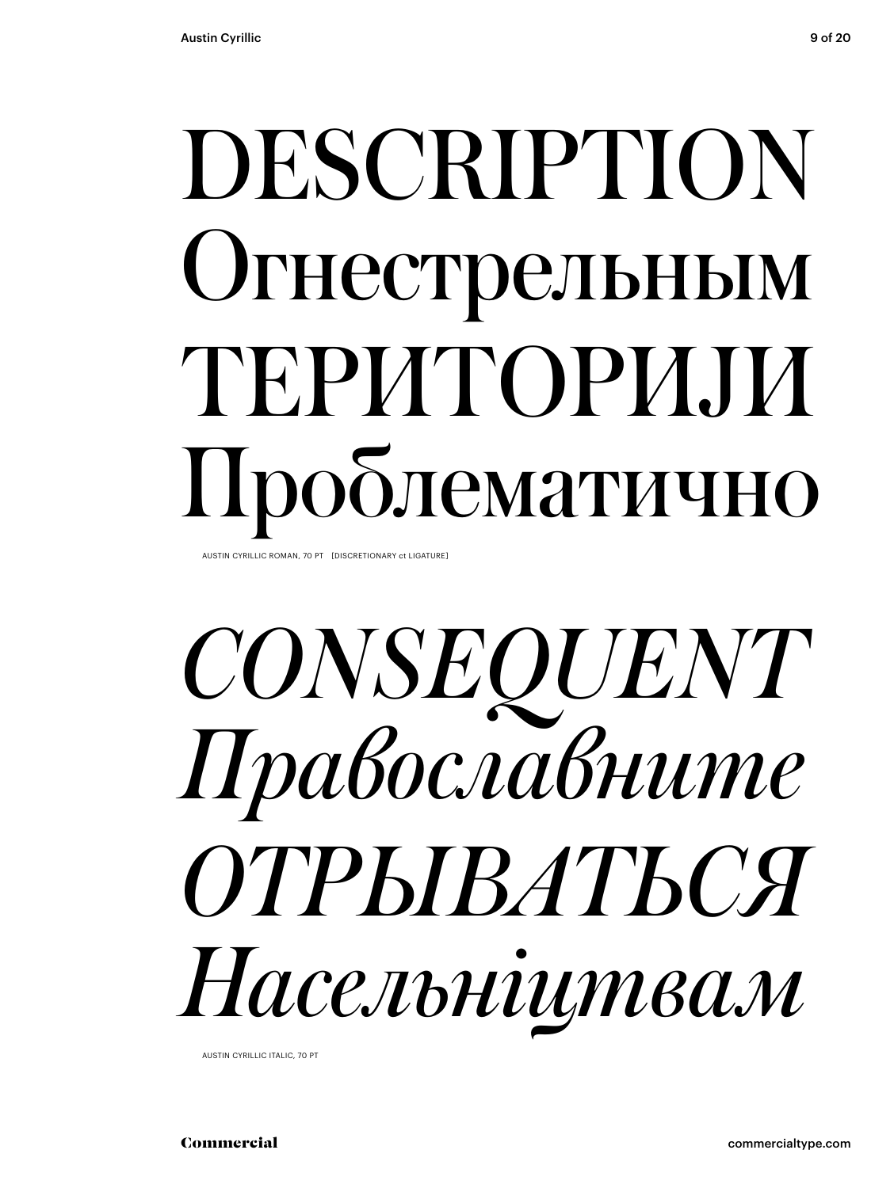### DESCRIPTION Огнестрельным ТЕРИТОРИЈИ Проблематично

AUSTIN CYRILLIC ROMAN, 70 PT [DISCRETIONARY ct LIGATURE]

### *CONSEQUENT Православните ОТРЫВАТЬСЯ Насельніцтвам*

AUSTIN CYRILLIC ITALIC, 70 PT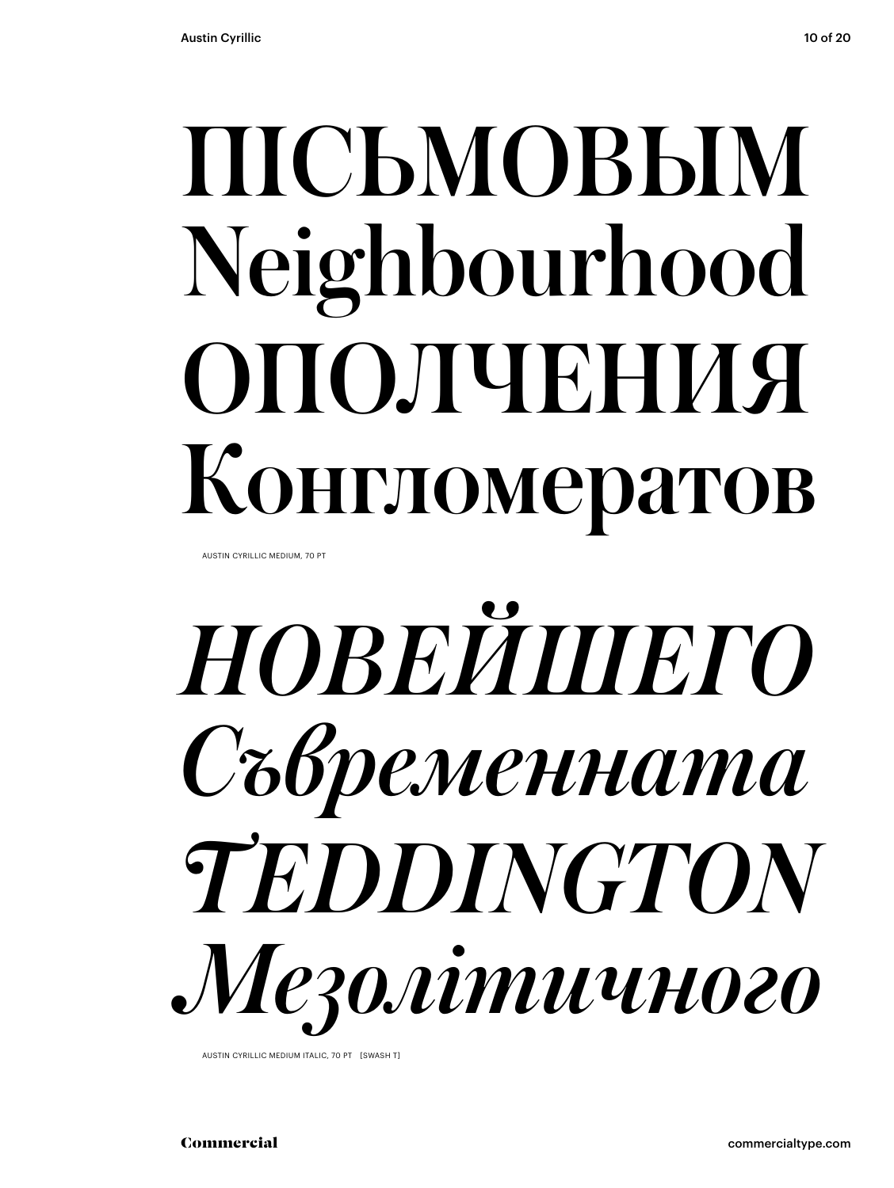### ПІСЬМОВЫМ Neighbourhood ОПОЛЧЕНИЯ Конгломератов

AUSTIN CYRILLIC MEDIUM, 70 PT



AUSTIN CYRILLIC MEDIUM ITALIC, 70 PT [SWASH T]

Commercial commercialtype.com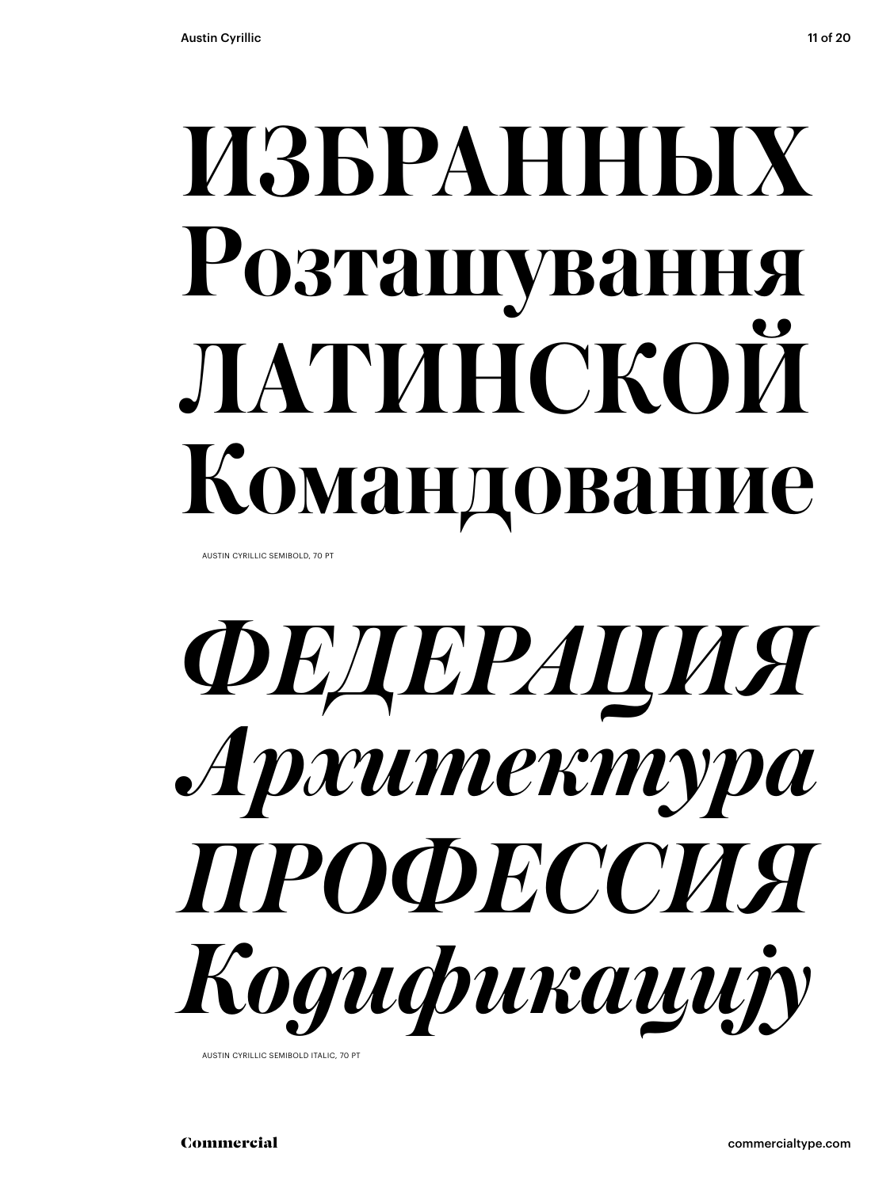### **ИЗБРАННЫХ Розташування ЛАТИНСКОЙ Командование**

AUSTIN CYRILLIC SEMIBOLD, 70 PT



AUSTIN CYRILLIC SEMIBOLD ITALIC, 70 PT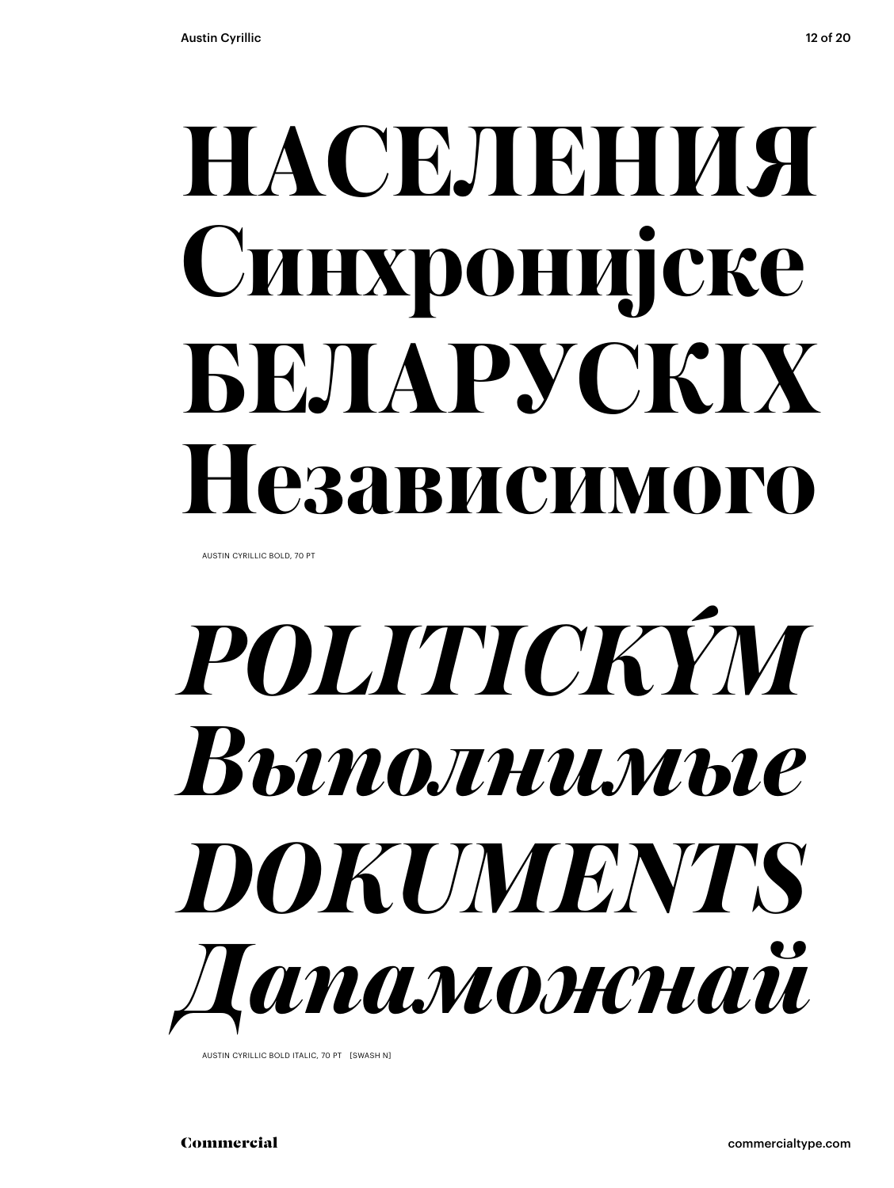### **НАСЕЛЕНИЯ Синхронијске БЕЛАРУСКІХ Независимого**

AUSTIN CYRILLIC BOLD, 70 PT

## *POLITICKÝM Выполнимые DOKUMENTS Дапаможнай*

AUSTIN CYRILLIC BOLD ITALIC, 70 PT [SWASH N]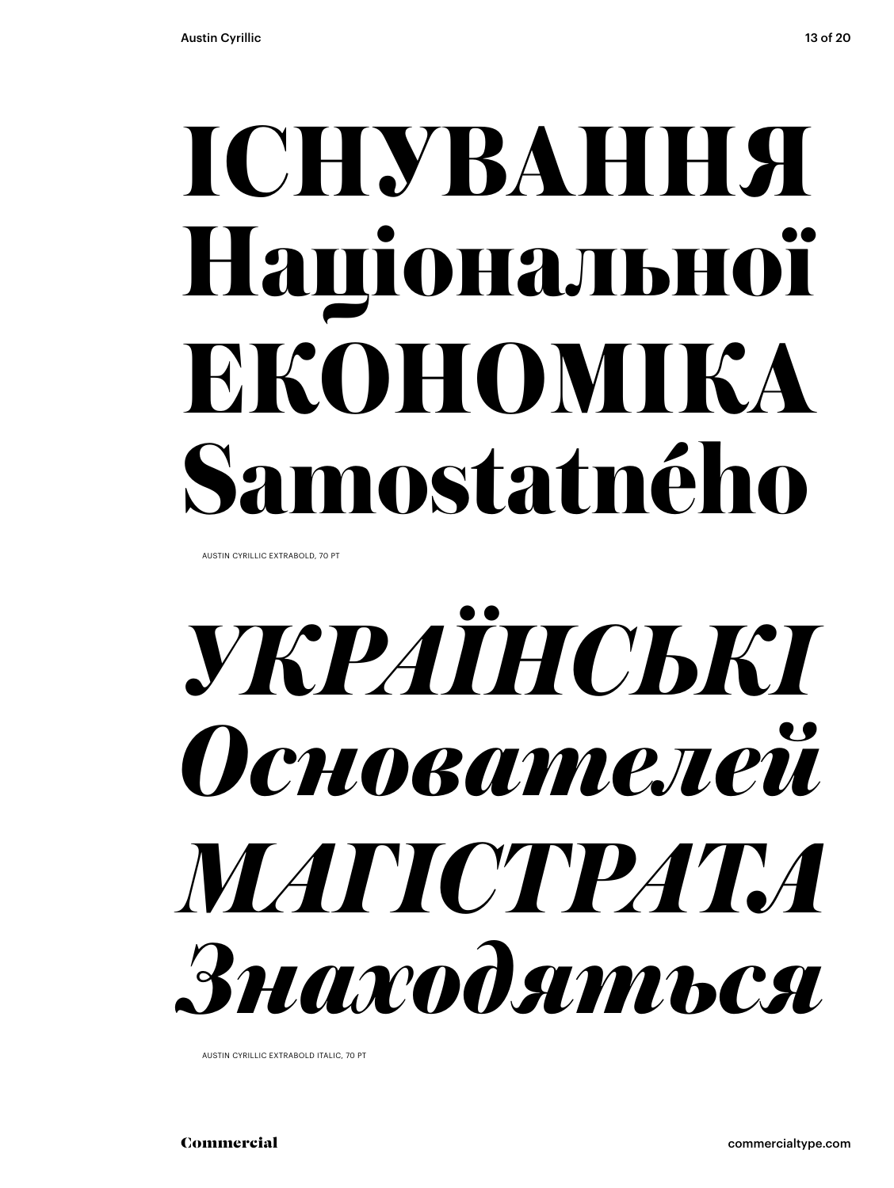### **ІСНУВАННЯ Національної ЕКОНОМІКА Samostatného**

AUSTIN CYRILLIC EXTRABOLD, 70 PT

### *УКРАЇНСЬКІ Основателей МАГІСТРАТА Знаходяться*

AUSTIN CYRILLIC EXTRABOLD ITALIC, 70 PT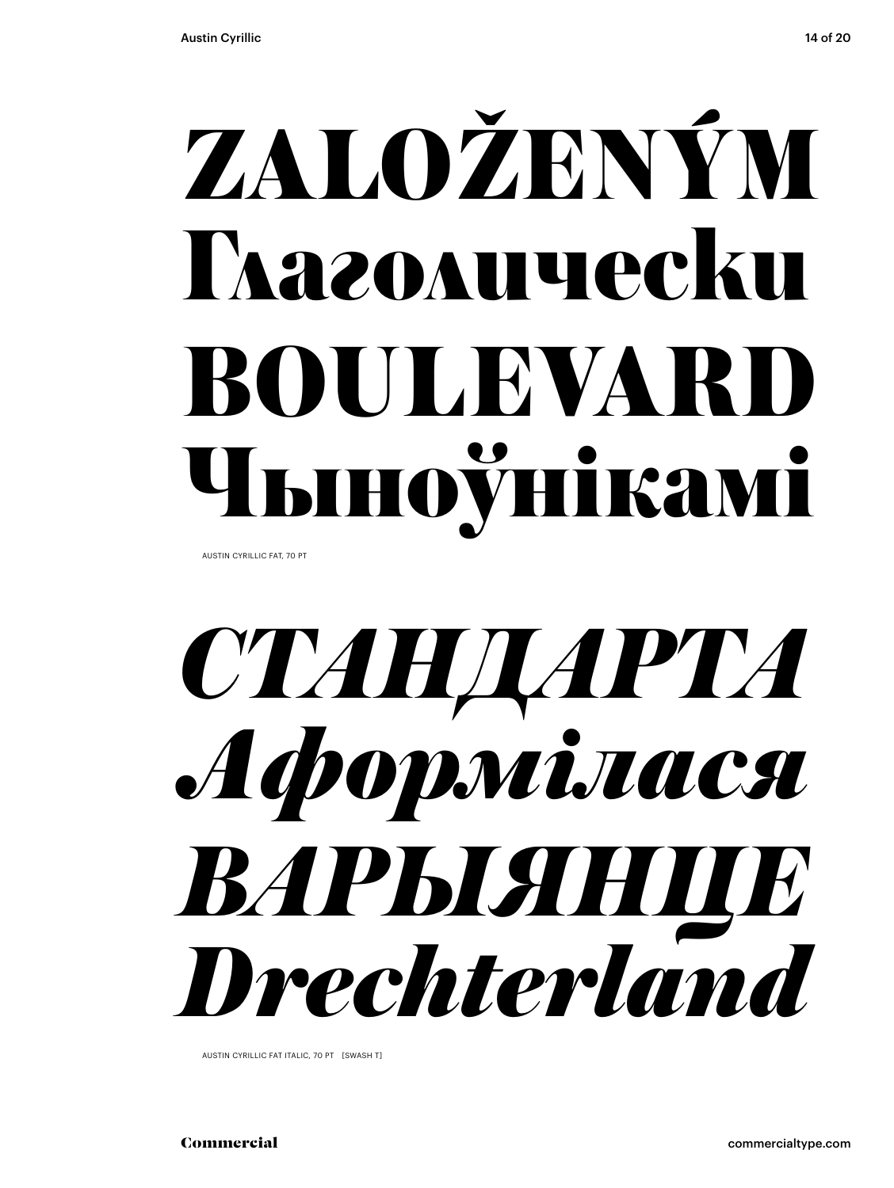## ZALOŽENÝM **Thazo Augecku** BOULEVAR ноўнікамі

AUSTIN CYRILLIC FAT, 70 PT

### СТАНДАРТА Achopniraca ВАРЫЯН Drechterland

AUSTIN CYRILLIC FAT ITALIC, 70 PT [SWASH T]

commercialtype.com

Commercial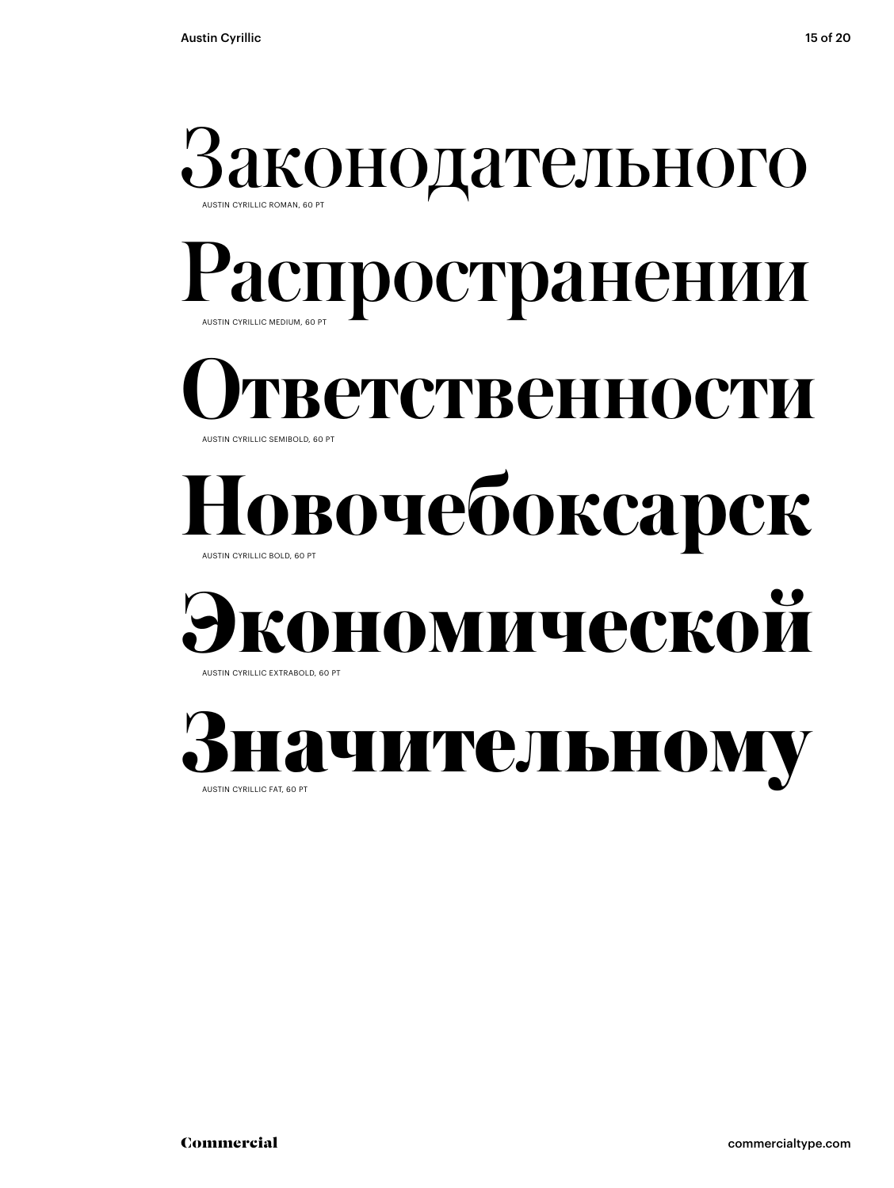## Законодательного

#### Распространении AUSTIN CYRILLIC MEDIUM, 60 PT

#### **Ответственности**

#### AUSTIN CYRILLIC SEMIBOLD, 60 PT

#### **Новочебоксарск**

AUSTIN CYRILLIC BOLD, 60 PT

#### AUSTIN CYRILLIC EXTRABOLD, 60 PT **Экономической**

Значительном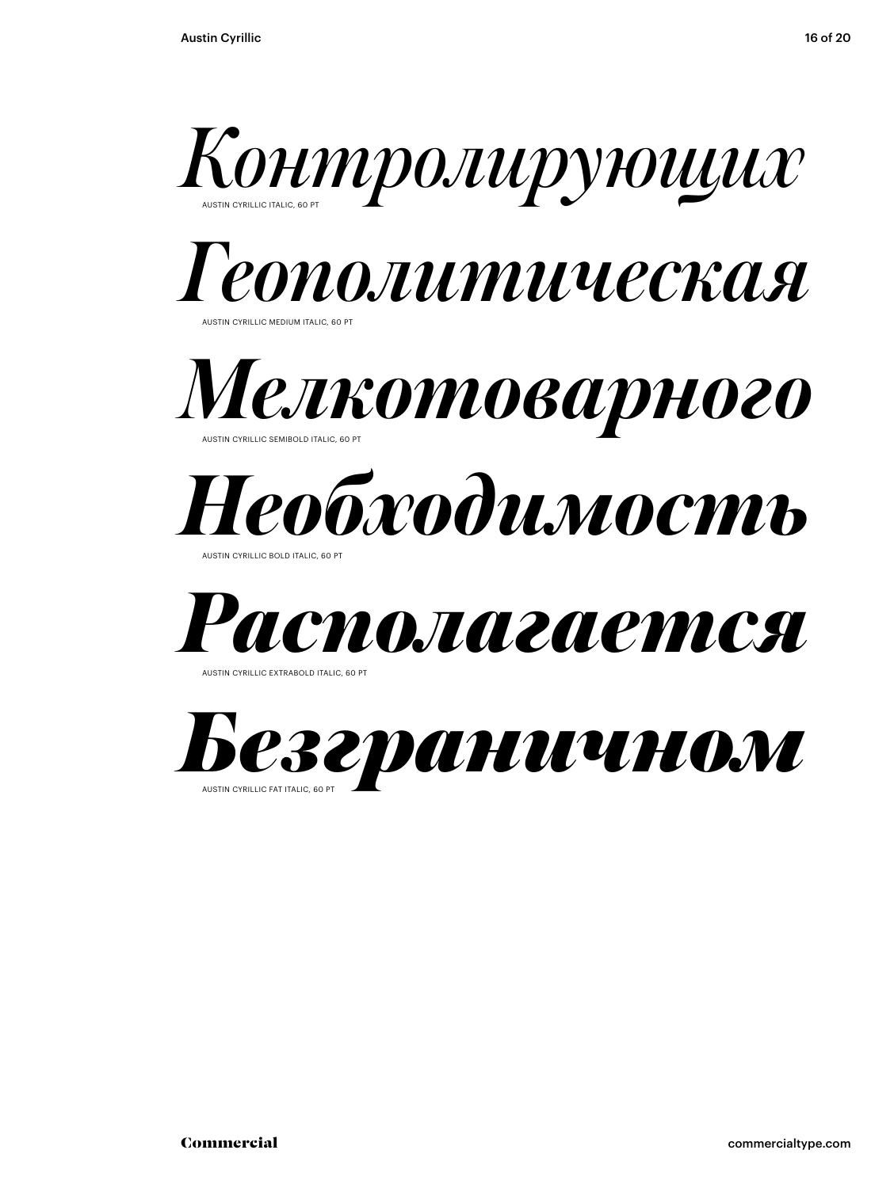







AUSTIN CYRILLIC BOLD ITALIC, 60 PT



**JSTIN CYRILLIC EXTRABOLD ITALIC, 60 P** 

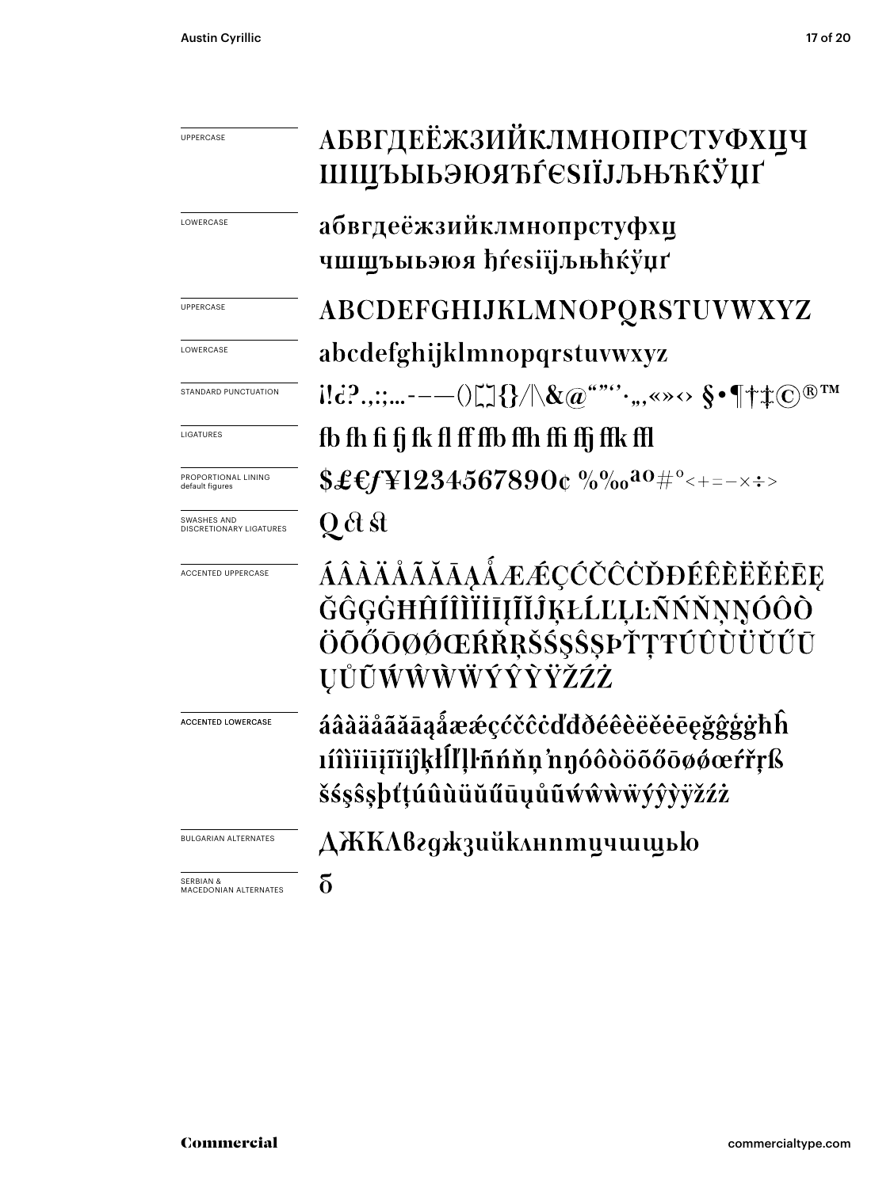#### АБВГДЕЁЖЗИЙКЛМНОПРСТУФХЦЧ UPPERCASE ШШЪЫЬЭЮЯЋЃЄЅІЇЈЉЊЋЌЎЏҐ абвгдеёжзийклмнопрстуфхц LOWERCASE чшщъыьэюя hŕesiïjљњhќўџґ ABCDEFGHIJKLMNOPQRSTUVWXYZ UPPERCASE **LOWERCASE** abcdefghijklmnopqrstuvwxyz  $\{ [d]^2, \ldots, -(-1)^n \} \} / \chi(\mathfrak{a}^{\omega \omega \omega}, \ldots, \langle \omega \rangle) \$  =  $\{\uparrow \downarrow \infty \}$  =  $\mathfrak{a}$ STANDARD PUNCTUATION fb fh fi fj fk fl ff ffb ffh ffi ffj ffk ffl LIGATURES  $$£$ £f¥l234567890¢%%%0<sup>20#°</sup><+=-x÷> PROPORTIONAL LINING default figures Q ct st SWASHES AND DISCRETIONARY LIGATURES ÁÂÀÄÅÃĂĀĀĄÅÆÆÇĆČČČĎĐÉÊÈËĔĒE ACCENTED UPPERCASE ĞĜĢĠĦĤÍÎÌĬİĪĮĨĬĴĶŁĹĽĻĿÑŃŇŅŅÓÔÒ ÖŐŐŐŌØŐŒŔŘRŠŚSŜSÞŤŢŦÚÛÙÜŬŰŪ **ŲŮŨŴŴŴŴÝŶŶŸŽŹŻ** áâàäåãããąåææçćčĉċďđðéêèëěēęğĝģġħĥ ACCENTED LOWERCASE líîìïiijĩijklĺľlŀñńňn nnóôòöõőōøøœŕřrß šśşŝşþťtúûùüŭűūụůũẃŵẁẅýŷỳÿžźż BULGARIAN ALTERNATES **ДЖКЛвгджзийклнптичшщью**  $\delta$ SERBIAN & MACEDONIAN ALTERNATES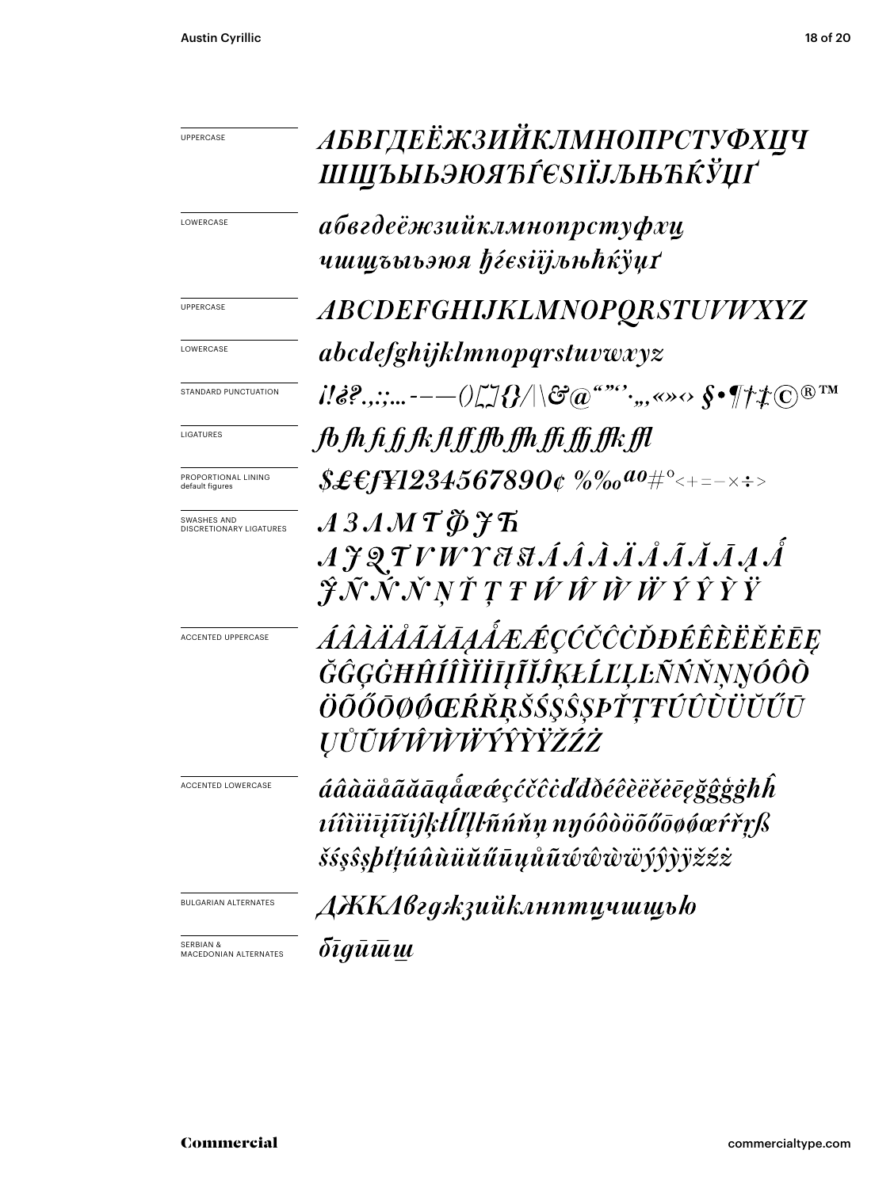| <b>UPPERCASE</b>                              | АБВГДЕЁЖЗИЙКЛМНОПРСТУФХЦЧ<br>ШЩЪЫЬЭЮЯЋЃЄЅІЇЈЉЊЋЌЎЏҐ                                                                  |
|-----------------------------------------------|----------------------------------------------------------------------------------------------------------------------|
| LOWERCASE                                     | абвгдеёжзийклмнопрстуфхц<br>чшщъыьэюя ħѓesiïjљњħќўџґ                                                                 |
| <b>UPPERCASE</b>                              | <b>ABCDEFGHIJKLMNOPQRSTUVWXYZ</b>                                                                                    |
| LOWERCASE                                     | abcdefghijklmnopqrstuvwxyz                                                                                           |
| STANDARD PUNCTUATION                          | $i!\&$ ?.,:;----- $0\&$ / $\&$ / $\&$ @""',,,«» $\leftrightarrow$ $\&$ $\P$ $\neq$ $\&$ $\&$ $\mathbb{T}^{n}$        |
| LIGATURES                                     | fb fh fi fj fk fl ff ffb ffh ffi ffj ffk ffl                                                                         |
| PROPORTIONAL LINING<br>default figures        | $$£$ £f¥1234567890¢ %‰ <sup>ao</sup> #°<+=-×÷>                                                                       |
| SWASHES AND<br>DISCRETIONARY LIGATURES        | $A 3 AM T \cancel{\phi}$ $\cancel{f}$ $\ddot{h}$<br>AJQTVWYASIÁÂÄÄÅÃĂĀAA<br>ĴÑŇŇŅŤŢŦŴŴŴŴÝŶŶŸ                         |
| <b>ACCENTED UPPERCASE</b>                     | ÁÂÀÄÅĂĂĀĄÅÆÆÇĆČČČĎĐÉÊÈËËĒE<br>ĞĜĢĠĦĤÍÎÌĬĬĪĮĨĬĴĶŁĹĽĻĿÑŃŇŅŅÓÔÒ<br>ÖÕŐŌØØŒŔŘŖŠŚŞŜŞÞŤŢŦŰÛÙÜŬŰŪ<br><i>ŲŮŨŴŴŴŴŶŶŶŸŽŹŻ</i>  |
| ACCENTED LOWERCASI                            | áâàäåãããaąåææçćčĉċďđðéêèëěēegğĝģġħĥ<br><i>víîiüijĩijkllllhnnnn ngóôòöõőōøøæŕřrß</i><br>šśşŝşþťtúûùüŭűūųůũŵŵŵwÿŷỳÿžźż |
| <b>BULGARIAN ALTERNATES</b>                   | ДЖКАвгджзийклнптцчшщью                                                                                               |
| <b>SERBIAN &amp;</b><br>MACEDONIAN ALTERNATES | <i>бīgū<math>\bar u</math>นแ</i>                                                                                     |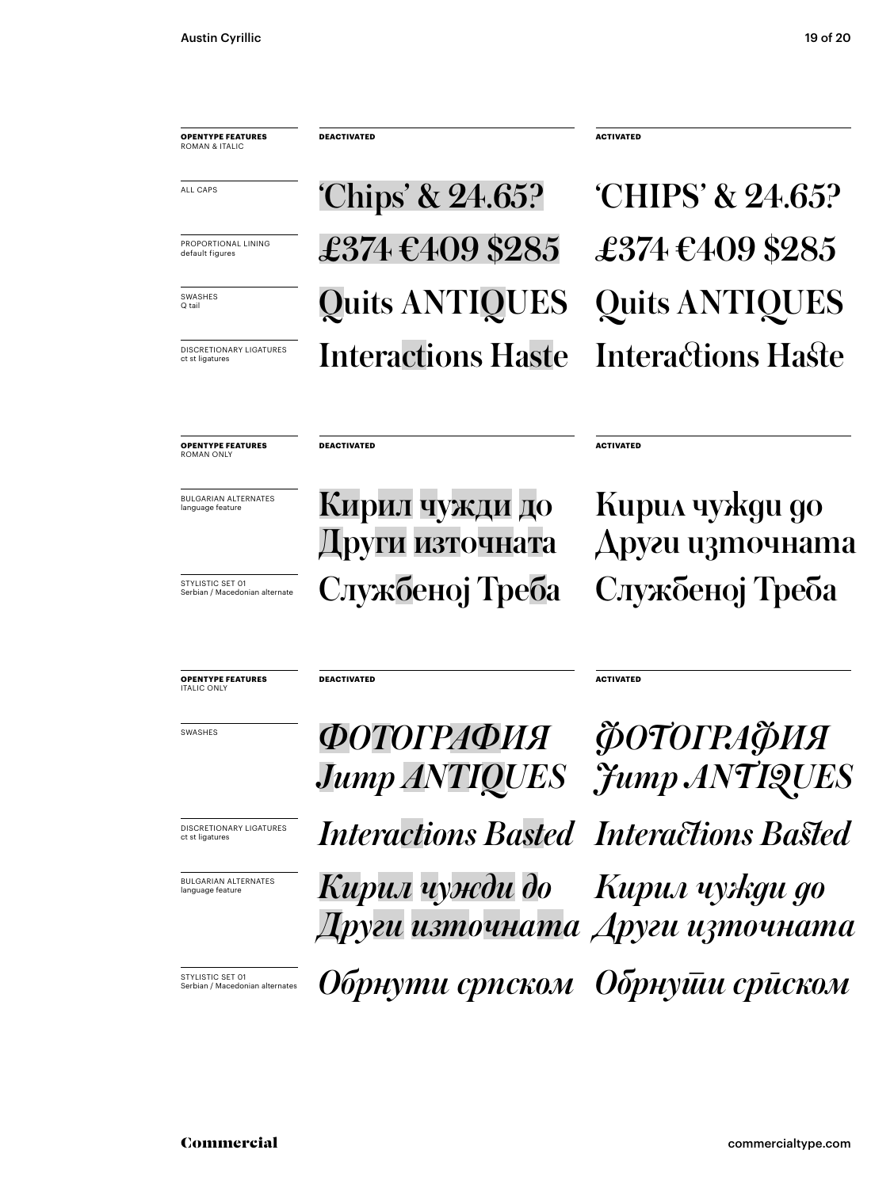**OPENTYPE FEATURES** ROMAN & ITALIC

**DEACTIVATED ACTIVATED** 

**Quits ANTIQUES** Quits ANTIQUES DISCRETIONARY LIGATURES Interactions Haste Interactions Haste  $\overline{\phantom{0}}$   $\overline{\phantom{0}}$   $\overline{\phantom{0}}$   $\overline{\phantom{0}}$   $\overline{\phantom{0}}$   $\overline{\phantom{0}}$   $\overline{\phantom{0}}$   $\overline{\phantom{0}}$   $\overline{\phantom{0}}$   $\overline{\phantom{0}}$   $\overline{\phantom{0}}$   $\overline{\phantom{0}}$   $\overline{\phantom{0}}$   $\overline{\phantom{0}}$   $\overline{\phantom{0}}$   $\overline{\phantom{0}}$   $\overline{\phantom{0}}$   $\overline{\phantom{0}}$   $\overline{\$ PROPORTIONAL LINING  $\pounds374 \pounds409 \pounds285 \pounds374 \pounds409 \pounds285$ 

**OPENTYPE FEATURES** ROMAN ONLY

BULGARIAN ALTERNATES

BULGARIAN ALTERNATES **Кирил чужди до** Други източната  $\overline{\mathbf{S}_{\texttt{SFLUSTIC SET\,OT}}$   $\overline{\mathbf{S}_{\texttt{SFLVIMC}\text{SFLVOL}}}$  Службеној Треба Службеној Треба

£374  $\text{\textsterling}409$  \$285

**DEACTIVATED** ACTIVATED

**DEACTIVATED ACTIVATED** 

Кирил чужди до Други източната

**OPENTYPE FEATURES** ITALIC ONLY

BULGARIAN ALTERNATES language featur

**INSCRETIONARY LIGATURES** *Interactions Basted Interactions Basted* **БРАЗИЯ ФОТОГРАФИЯ ФОТОГРАФИЯ** *Jump ANTIQUES Jump ANTIQUES* <u>*<u>ETYLISTIC SET O1</u></sub>*<br>Serbian/Macedonian alternates **Обрнути српском Обрнуши сриском**</u> *Кирил чужди до Други източната Други източнатаКирил чужди до*